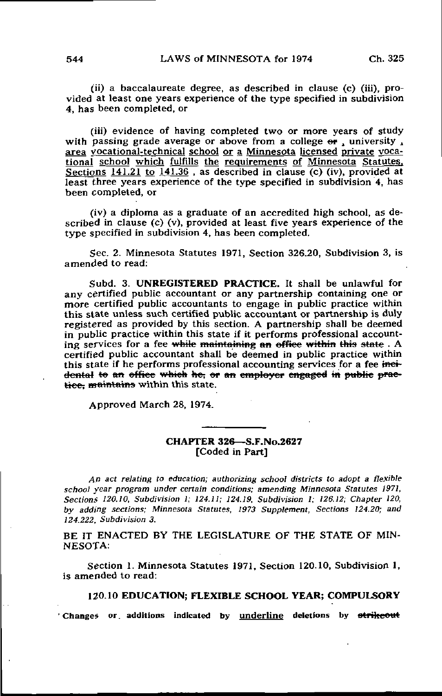(ii) a baccalaureate degree, as described in clause (c) (iii), provided at least one years experience of the type specified in subdivision 4, has been completed, or

(iii) evidence of having completed two or more years of study with passing grade average or above from a college or , university , area vocational-technical school or a Minnesota licensed private vocational school which fulfills the requirements of Minnesota Statutes. Sections  $141.21$  to  $141.36$ , as described in clause (c) (iv), provided at least three years experience of the type specified in subdivision 4, has been completed, or

(iv) a diploma as a graduate of an accredited high school, as described in clause (c) (v), provided at least five years experience of the type specified in subdivision 4, has been completed.

Sec. 2. Minnesota Statutes 1971, Section 326.20, Subdivision 3, is amended to read:

Subd. 3. UNREGISTERED PRACTICE. It shall be unlawful for any certified public accountant or any partnership containing one or more certified public accountants to engage in public practice within this state unless such certified public accountant or partnership is duly registered as provided by this section. A partnership shall be deemed in public practice within this state if it performs professional accounting services for a fee while maintaining an office within this state. A certified public accountant shall be deemed in public practice within this state if he performs professional accounting services for a fee incidental to an office which he, or an employer engaged in public practice. maintains within this state.

Approved March 28, 1974.

## CHAPTER 326—S.F.No.2627 [Coded in Part]

An act relating to education; authorizing school districts to adopt a flexible school year program under certain conditions; amending Minnesota Statutes 197], Sections 120.10, Subdivision 1; 124.11; 124.19, Subdivision 1; 126.12; Chapter 120, by adding sections; Minnesota Statutes, 1973 Supplement, Sections 124.20; and 124.222, Subdivision 3.

BE IT ENACTED BY THE LEGISLATURE OF THE STATE OF MIN-NESOTA:

Section 1. Minnesota Statutes 1971, Section 120.10, Subdivision 1, is amended to read:

## 120.10 EDUCATION; FLEXIBLE SCHOOL YEAR; COMPULSORY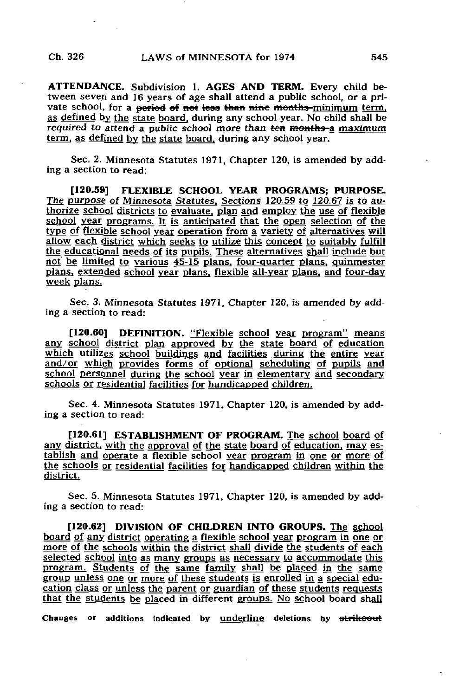ATTENDANCE. Subdivision 1. AGES AND TERM. Every child between seven and 16 years of age shall attend a public school, or a private school, for a period of not less than nine months-minimum term. as defined by the state board, during any school year. No child shall be required to attend a public school more than ten months-a maximum term, as defined by the state board, during any school year.

Sec. 2. Minnesota Statutes 1971, Chapter 120, is amended by adding a section to read:

[120.59] FLEXIBLE SCHOOL YEAR PROGRAMS; PURPOSE. The purpose of Minnesota Statutes. Sections 120.59 to 120.67 is to authorize school districts to evaluate, plan and employ the use of flexible school year programs. It is anticipated that the open selection of the type of flexible school year operation from a variety of alternatives will allow each district which seeks to utilize this concept to suitably fulfill the educational needs of its pupils. These alternatives shall include but not be limited to various 45-15 plans, four-quarter plans, quinmester plans, extended gchool year plans, flexible all-year plans, and four-day week plans,

Sec. 3. Minnesota Statutes 1971, Chapter 120, is amended by adding a section to read:

[120.60] DEFINITION. "Flexible school year program" means any school district plan approved by the state board of education which utilizes school buildings and facilities during the entire year and/or which provides forms of optional scheduling of pupils and school personnel during the school year in elementary and secondary schools or residential facilities for handicapped children.

Sec. 4. Minnesota Statutes 1971, Chapter 120, is amended by adding a section to read:

[120.61] ESTABLISHMENT OF PROGRAM. The school board of any district, with the approval of the state board of education, may establish and operate a flexible school year program in one or more of the schools or residential facilities for handicapped children within the district.

Sec. 5. Minnesota Statutes 1971, Chapter 120, is amended by adding a section to read:

[120.62] DIVISION OF CHILDREN INTO GROUPS. The school board of any district operating a flexible school year program in one or more of the schools within the district shall divide the students of each selected school into as many groups as necessary to accommodate this program. Students of the same family shall be placed in the same group unless one or more of these students is enrolled in a special education class or unless the parent or guardian of these students requests that the students be placed in different groups. No school board shall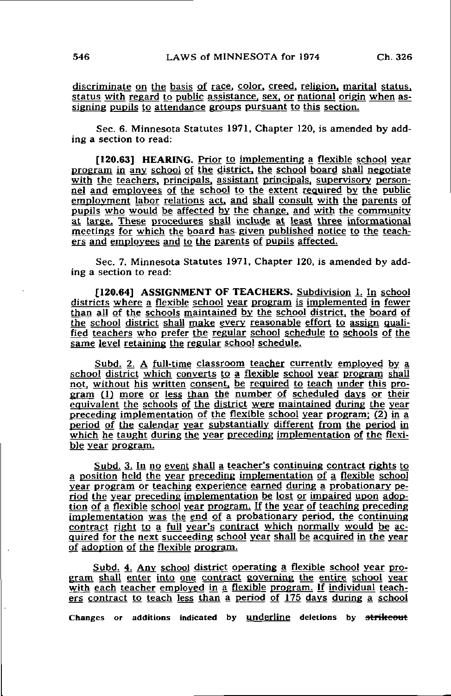discriminate on the basis of race, color, creed, religion, marital status, status with regard to public assistance, sex, or national origin when assigning pupils to attendance groups pursuant to this section.

Sec. 6. Minnesota Statutes 1971, Chapter 120, is amended by adding a section to read:

[120.63] HEARING. Prior to implementing a flexible school year program in any school of the district, the school board shall negotiate with the teachers, principals, assistant principals, supervisory personnel and employees of the school to the extent required by the public employment labor relations act, and shall consult with the parents of pupils who would be affected by the change, and with the community at targe. These procedures shall include at least three informational meetings for which the board has given published notice to the teachers and employees and to the parents of pupils affected.

Sec. 7. Minnesota Statutes 1971, Chapter 120, is amended by adding a section to read:

[120.64] ASSIGNMENT OF TEACHERS. Subdivision 1. In school districts where a flexible school year program is implemented in fewer than all of the schools maintained by the school district, the board of the school district shall make every reasonable effort to assign qualified teachers who prefer the regular school schedule to schools of the same level retaining the regular school schedule.

Subd. 2. A full-time classroom teacher currently employed by a school district which converts to a flexible school year program shall not, without his written consent, be required to teach under this program (1) more or less than the number of scheduled days or their equivalent the schools of the district were maintained during the year preceding implementation of the flexible school year program: (2) in a period of the calendar year substantially different from the period in which he taught during the year preceding implementation of the flexible year program.

Subd. 3. In no event shall a teacher's continuing contract rights to a position held the year preceding implementation of a flexible school year program or teaching experience earned during a probationary period the year preceding implementation be lost or impaired upon adoption of a flexible school year program. If the year of teaching preceding implementation was the end of a probationary period, the continuing contract right to a full year's contract which normally would be acquired for the next succeeding school year shall be acquired in the year of adoption of the flexible program.

Subd. 4. Any school district operating a flexible school year program shall enter into one contract governing the entire school year with each teacher employed in a flexible program. If individual teachers contract to teach less than a period of 175 days during a school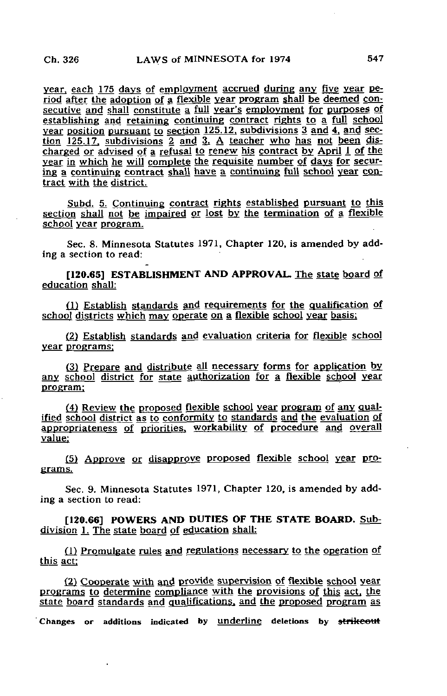year, each 175 days of employment accrued during any five year period after the adoption of a flexible year program shall be deemed consecutive and shall constitute a full year's employment for purposes of establishing and retaining continuing contract rights to a full school year position pursuant to section 125.12, subdivisions 3 and 4, and section 125.17. subdivisions 2 and 3. A teacher who has not been discharged or advised of a refusal to renew his contract by April 1 of the year in which he will complete the requisite number of days for securing a continuing contract shall have a continuing full school year contract with the district.

Subd. 5. Continuing contract rights established pursuant to this section shall not be impaired or lost by the termination of a flexible school year program.

Sec. 8. Minnesota Statutes 1971, Chapter 120, is amended by adding a section to read:

[120.65] ESTABLISHMENT AND APPROVAL. The state board of education shall:

(1) Establish standards and requirements for the qualification of school districts which may operate on a flexible school year basis;

(2) Establish standards and evaluation criteria for flexible school year programs:

(3) Prepare and distribute all necessary forms for application by any school district for state authorization for a flexible school year program:

(4) Review the proposed flexible school year program of any qualified school district as to conformity to standards and the evaluation of appropriateness of priorities, workability of procedure and overall value:

(5) Approve or disapprove proposed flexible school year programs.

Sec. 9. Minnesota Statutes 1971, Chapter 120, is amended by adding a section to read:

[120.66] POWERS AND DUTIES OF THE STATE BOARD. Subdivision 1. The state board of education shall:

(1) Promulgate rules and regulations necessary to the operation of this act:

(2) Cooperate with and provide supervision of flexible school year programs to determine compliance with the provisions of this act, the state board standards and qualifications, and the proposed program as Changes or additions indicated by underline deletions by strikeout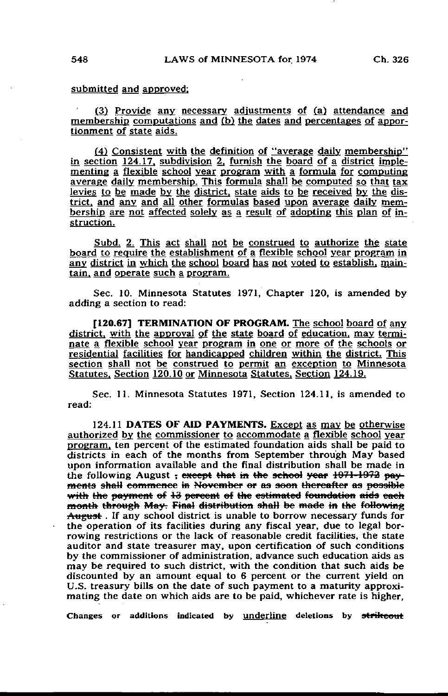## submitted and approved;

(3) Provide any necessary adjustments of (a) attendance and membership computations and fb) the dates and percentages of apportionment of state aids.

(4) Consistent with the definition of "average daily membership" in section 124.17, subdivision 2, furnish the board of a district implementing a flexible school year program with a formula for computing average daily membership. This formula shall be computed so that tax levies to be made by the district, state aids to be received by the district, and any and all other formulas based upon average daily membership are not affected solely as a result of adopting this plan of instruction.

Subd. 2. This act shall not be construed to authorize the state board to require the establishment of a flexible school year program in any district in which the school board has not voted to establish, maintain, and operate such a program.

Sec. 10. Minnesota Statutes 1971, Chapter 120, is amended by adding a section to read:

[120.67] TERMINATION OF PROGRAM. The school board of any district, with the approval of the state board of education, may terminate a flexible school year program in one or more of the schools or residential facilities for handicapped children within the district. This section shall not be construed to permit an exception to Minnesota Statutes. Section 120.10 or Minnesota Statutes. Section 124.19.

Sec. 11. Minnesota Statutes 1971, Section 124.11, is amended to read:

124.11 DATES OF AID PAYMENTS. Except as may be otherwise authorized by the commissioner to accommodate a flexible school year program, ten percent of the estimated foundation aids shall be paid to districts in each of the months from September through May based upon information available and the final distribution shall be made in the following August, except that in the school year 1971-1972 payments shaH commence m November or as soon thereafter as pooaiblc with the payment of 13 percent of the estimated foundation aids each month through May. Final distribution shall be made in the following August. If any school district is unable to borrow necessary funds for the operation of its facilities during any fiscal year, due to legal borrowing restrictions or the lack of reasonable credit facilities, the state auditor and state treasurer may, upon certification of such conditions by the commissioner of administration, advance such education aids as may be required to such district, with the condition that such aids be discounted by an amount equal to 6 percent or the current yield on U.S. treasury bills on the date of such payment to a maturity approximating the date on which aids are to be paid, whichever rate is higher,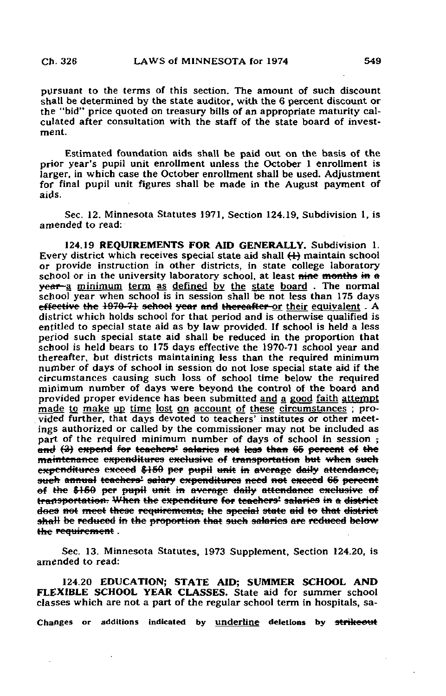pursuant to the terms of this section. The amount of such discount shall be determined by the state auditor, with the 6 percent discount or the "bid" price quoted on treasury bills of an appropriate maturity calculated after consultation with the staff of the state board of investment.

Estimated foundation aids shall be paid out on the basis of the prior year's pupil unit enrollment unless the October 1 enrollment is larger, in which case the October enrollment shall be used. Adjustment for final pupil unit figures shall be made in the August payment of aids.

Sec. 12. Minnesota Statutes 1971, Section 124.19, Subdivision 1, is amended to read:

124.19 REQUIREMENTS FOR AID GENERALLY. Subdivision 1. Every district which receives special state aid shall  $\leftrightarrow$  maintain school or provide instruction in other districts, in state college laboratory school or in the university laboratory school, at least nine months in a year-a minimum term as defined by the state board. The normal school year when school is in session shall be not less than 175 days effective the 1970-71 school year and thereafter or their equivalent. A district which holds school for that period and is otherwise qualified is entitled to special state aid as by law provided. If school is held a less period such special state aid shall be reduced in the proportion that school is held bears to 175 days effective the 1970-71 school year and thereafter, but districts maintaining less than the required minimum number of days of school in session do not lose special state aid if the circumstances causing such loss of school time below the required minimum number of days were beyond the control of the board and provided proper evidence has been submitted and a good faith attempt made to make up time lost on account of these circumstances ; provided further, that days devoted to teachers' institutes or other meetings authorized or called by the commissioner may not be included as part of the required minimum number of days of school in session  $\frac{1}{2}$ and  $(2)$  expend for teachers' salaries not less than 65 percent of the maintenance expenditures exclusive of transportation but when such expenditures exceed \$150 per pupil unit in average daily attendance, such annual teachers' salary expenditures need not exceed 65 percent of the \$150 per pupil unit in average daily attendance exclusive of transportation. When the expenditure for teachers' salaries in a district does not meet these requirements, the special state aid to that district shall be reduced in the proportion that such salaries are reduced below the requirement.

Sec. 13. Minnesota Statutes, 1973 Supplement, Section 124.20, is amended to read:

124.20 EDUCATION; STATE AID; SUMMER SCHOOL AND FLEXIBLE SCHOOL YEAR CLASSES. State aid for summer school classes which are not a part of the regular school term in hospitals, sa-